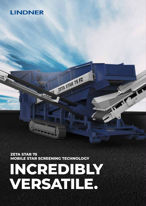# **LINDNER**

**ZETA STAR 75 MOBILE STAR SCREENING TECHNOLOGY**

Alb.

# **INCREDIBLY VERSATILE.**

THE PUBLIC PARTY

R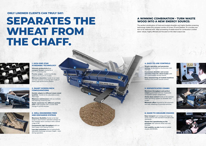### **4. EASY-TO-USE CONTROLS**

Simple operation and parametersetting via the intuitive touchscreen user interface. Convenient shredder and screen operation from the wheel loader with our customisable remote control.

Easy manoeuvring of tracked machines thanks to the joystick remote control.

# **3. WELL-ENGINEERED FEED**

**AND DISCHARGE SYSTEMS**

Low dust emissions due to hydraulically adjustable discharge conveyor height – even during operation.

**2. ZETA STAR 75 F2** 

**Easy transport** and raising and lowering of the machine with standard hook-lift trucks

Hassle-free repositioning on the premises with optional wheel axle and





Maximum flexibility thanks to the fast single to dual-fraction operation change via the rotatable return conveyor with a swivel range of 90°.

> Full mobility on-site thanks to tracked chassis (ZS75F2DK).

Consistently high throughput with our feed hopper with dosing function.

### **6. MADE-TO-MEASURE CHASSIS**

(ZS75F2D).

drawbar.

Quick conversion for different particle sizes made possible with a screen deck

# **SEPARATES THE WHEAT FROM THE CHAFF.**

# **ONLY LINDNER CLIENTS CAN TRULY SAY:**

Maximum throughput and perfect output guaranteed with our impeccably

# **A WINNING COMBINATION - TURN WASTE WOOD INTO A NEW ENERGY SOURCE:**

Active dust control thanks to the optional water sprinkling system on shredder and screen.

**Minimum effort** ensured by the automatic and safe refeeding of oversized particles.

The perfect combination of tried-and-trusted shredder and highly flexible screening technology makes this compact combo of Urraco 75 and Zetastar 75 a turnkey system to be reckoned with. Ideal processing of waste wood for combustion Lindner style: robust, highly efficient and focused on the ideal output size.







## Quickly adapts to different waste wood qualities thanks to the adjustable screen **Minimum maintenance** with our inclined, self-cleaning screening area.



change in just 60 minutes.

## **5. SOPHISTICATED COMBO**

compatible system components.

**1.**

**3.**

**4.**

**6.**

**5.**